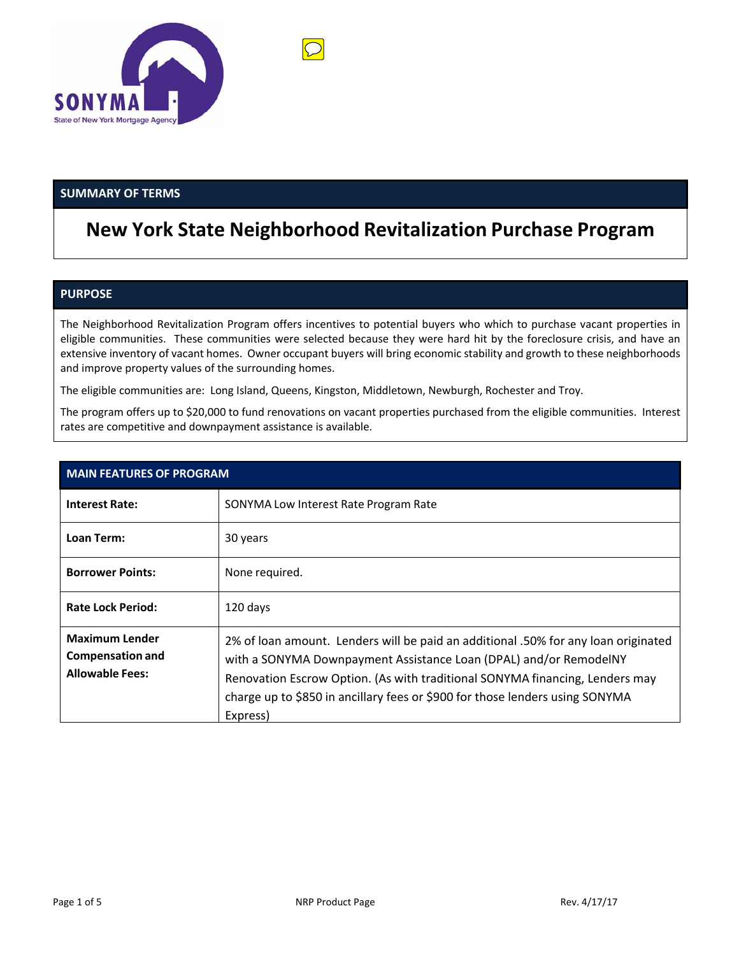

## **SUMMARY OF TERMS**

## **New York State Neighborhood Revitalization Purchase Program**

## **PURPOSE**

The Neighborhood Revitalization Program offers incentives to potential buyers who which to purchase vacant properties in eligible communities. These communities were selected because they were hard hit by the foreclosure crisis, and have an extensive inventory of vacant homes. Owner occupant buyers will bring economic stability and growth to these neighborhoods and improve property values of the surrounding homes.

The eligible communities are: Long Island, Queens, Kingston, Middletown, Newburgh, Rochester and Troy.

The program offers up to \$20,000 to fund renovations on vacant properties purchased from the eligible communities. Interest rates are competitive and downpayment assistance is available.

| <b>MAIN FEATURES OF PROGRAM</b>                                            |                                                                                                                                                                                                                                                                                                                                     |
|----------------------------------------------------------------------------|-------------------------------------------------------------------------------------------------------------------------------------------------------------------------------------------------------------------------------------------------------------------------------------------------------------------------------------|
| <b>Interest Rate:</b>                                                      | SONYMA Low Interest Rate Program Rate                                                                                                                                                                                                                                                                                               |
| Loan Term:                                                                 | 30 years                                                                                                                                                                                                                                                                                                                            |
| <b>Borrower Points:</b>                                                    | None required.                                                                                                                                                                                                                                                                                                                      |
| <b>Rate Lock Period:</b>                                                   | 120 days                                                                                                                                                                                                                                                                                                                            |
| <b>Maximum Lender</b><br><b>Compensation and</b><br><b>Allowable Fees:</b> | 2% of loan amount. Lenders will be paid an additional .50% for any loan originated<br>with a SONYMA Downpayment Assistance Loan (DPAL) and/or RemodelNY<br>Renovation Escrow Option. (As with traditional SONYMA financing, Lenders may<br>charge up to \$850 in ancillary fees or \$900 for those lenders using SONYMA<br>Express) |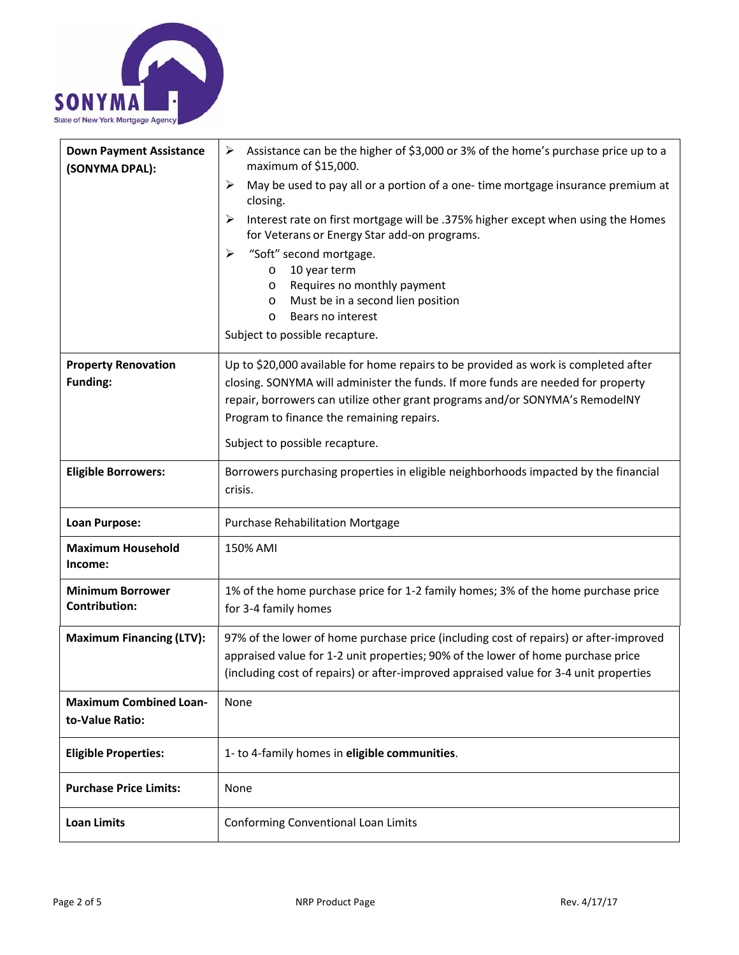

| <b>Down Payment Assistance</b><br>(SONYMA DPAL): | ≻<br>Assistance can be the higher of \$3,000 or 3% of the home's purchase price up to a<br>maximum of \$15,000.                                                                                                                                                                                                                        |
|--------------------------------------------------|----------------------------------------------------------------------------------------------------------------------------------------------------------------------------------------------------------------------------------------------------------------------------------------------------------------------------------------|
|                                                  | ➤<br>May be used to pay all or a portion of a one-time mortgage insurance premium at<br>closing.                                                                                                                                                                                                                                       |
|                                                  | Interest rate on first mortgage will be .375% higher except when using the Homes<br>≻<br>for Veterans or Energy Star add-on programs.                                                                                                                                                                                                  |
|                                                  | $\blacktriangleright$<br>"Soft" second mortgage.<br>10 year term<br>$\circ$<br>Requires no monthly payment<br>$\circ$<br>Must be in a second lien position<br>$\circ$<br>Bears no interest<br>$\circ$                                                                                                                                  |
|                                                  | Subject to possible recapture.                                                                                                                                                                                                                                                                                                         |
| <b>Property Renovation</b><br><b>Funding:</b>    | Up to \$20,000 available for home repairs to be provided as work is completed after<br>closing. SONYMA will administer the funds. If more funds are needed for property<br>repair, borrowers can utilize other grant programs and/or SONYMA's RemodelNY<br>Program to finance the remaining repairs.<br>Subject to possible recapture. |
|                                                  |                                                                                                                                                                                                                                                                                                                                        |
| <b>Eligible Borrowers:</b>                       | Borrowers purchasing properties in eligible neighborhoods impacted by the financial<br>crisis.                                                                                                                                                                                                                                         |
| <b>Loan Purpose:</b>                             | <b>Purchase Rehabilitation Mortgage</b>                                                                                                                                                                                                                                                                                                |
| <b>Maximum Household</b><br>Income:              | 150% AMI                                                                                                                                                                                                                                                                                                                               |
| <b>Minimum Borrower</b><br><b>Contribution:</b>  | 1% of the home purchase price for 1-2 family homes; 3% of the home purchase price<br>for 3-4 family homes                                                                                                                                                                                                                              |
| <b>Maximum Financing (LTV):</b>                  | 97% of the lower of home purchase price (including cost of repairs) or after-improved<br>appraised value for 1-2 unit properties; 90% of the lower of home purchase price<br>(including cost of repairs) or after-improved appraised value for 3-4 unit properties                                                                     |
| <b>Maximum Combined Loan-</b><br>to-Value Ratio: | None                                                                                                                                                                                                                                                                                                                                   |
| <b>Eligible Properties:</b>                      | 1- to 4-family homes in eligible communities.                                                                                                                                                                                                                                                                                          |
| <b>Purchase Price Limits:</b>                    | None                                                                                                                                                                                                                                                                                                                                   |
| <b>Loan Limits</b>                               | Conforming Conventional Loan Limits                                                                                                                                                                                                                                                                                                    |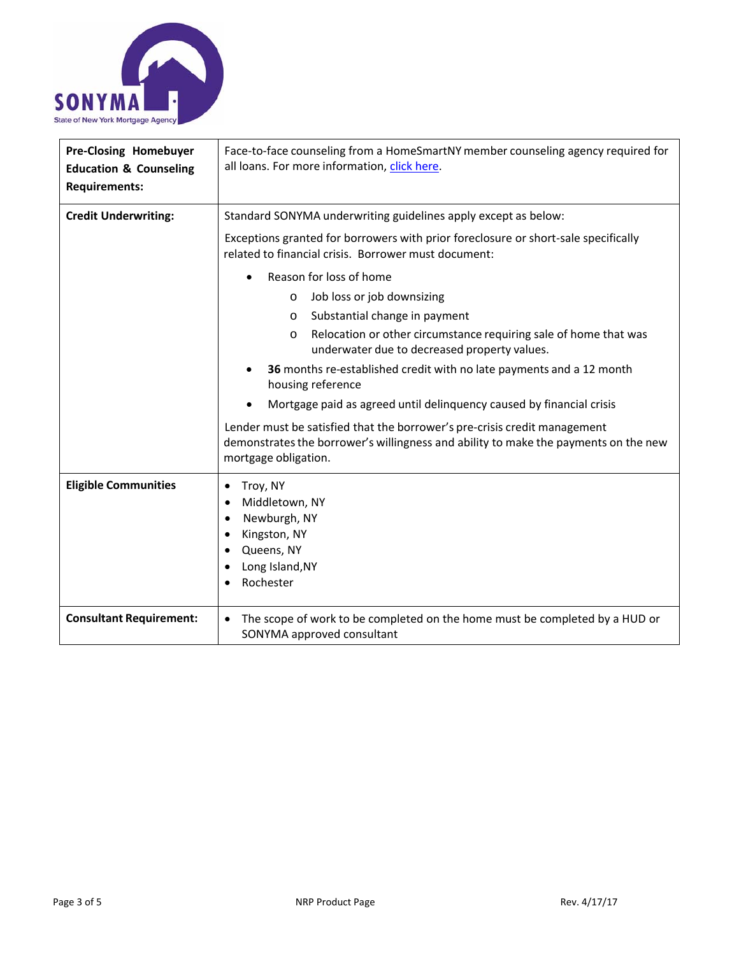

| <b>Pre-Closing Homebuyer</b><br><b>Education &amp; Counseling</b><br><b>Requirements:</b> | Face-to-face counseling from a HomeSmartNY member counseling agency required for<br>all loans. For more information, click here.                                                         |
|-------------------------------------------------------------------------------------------|------------------------------------------------------------------------------------------------------------------------------------------------------------------------------------------|
| <b>Credit Underwriting:</b>                                                               | Standard SONYMA underwriting guidelines apply except as below:<br>Exceptions granted for borrowers with prior foreclosure or short-sale specifically                                     |
|                                                                                           | related to financial crisis. Borrower must document:                                                                                                                                     |
|                                                                                           | Reason for loss of home                                                                                                                                                                  |
|                                                                                           | Job loss or job downsizing<br>O                                                                                                                                                          |
|                                                                                           | Substantial change in payment<br>O                                                                                                                                                       |
|                                                                                           | Relocation or other circumstance requiring sale of home that was<br>$\circ$<br>underwater due to decreased property values.                                                              |
|                                                                                           | 36 months re-established credit with no late payments and a 12 month<br>housing reference                                                                                                |
|                                                                                           | Mortgage paid as agreed until delinquency caused by financial crisis                                                                                                                     |
|                                                                                           | Lender must be satisfied that the borrower's pre-crisis credit management<br>demonstrates the borrower's willingness and ability to make the payments on the new<br>mortgage obligation. |
| <b>Eligible Communities</b>                                                               | Troy, NY<br>$\bullet$                                                                                                                                                                    |
|                                                                                           | Middletown, NY<br>Newburgh, NY<br>$\bullet$                                                                                                                                              |
|                                                                                           | Kingston, NY                                                                                                                                                                             |
|                                                                                           | Queens, NY                                                                                                                                                                               |
|                                                                                           | Long Island, NY<br>Rochester                                                                                                                                                             |
|                                                                                           |                                                                                                                                                                                          |
| <b>Consultant Requirement:</b>                                                            | The scope of work to be completed on the home must be completed by a HUD or<br>$\bullet$<br>SONYMA approved consultant                                                                   |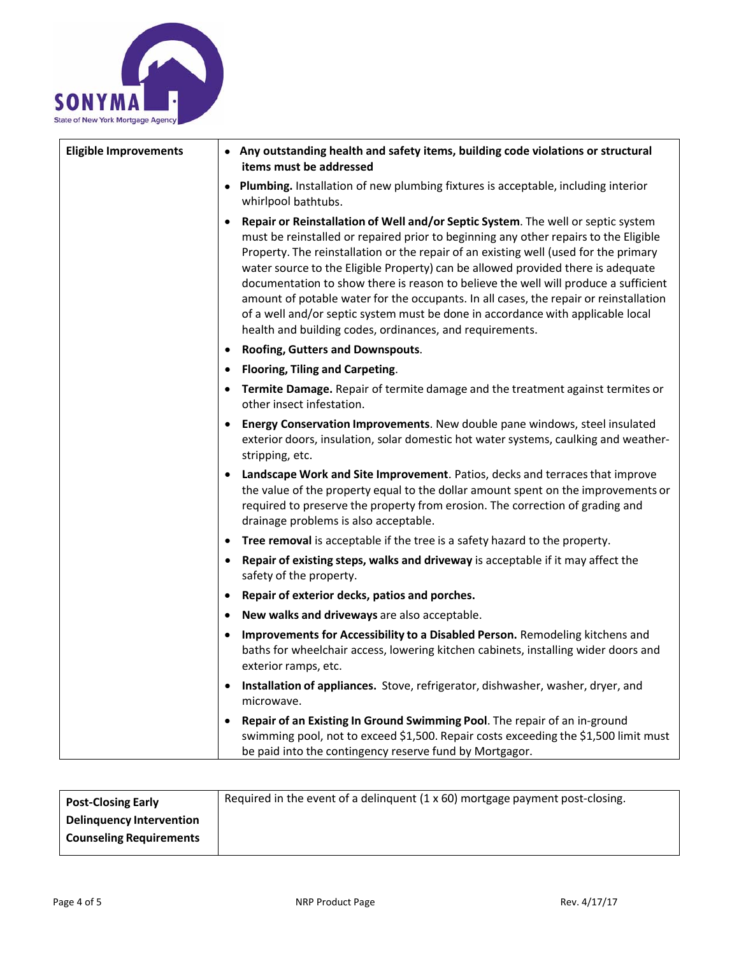

| <b>Eligible Improvements</b> | • Any outstanding health and safety items, building code violations or structural<br>items must be addressed                                                                                                                                                                                                                                                                                                                                                                                                                                                                                                                                                                        |
|------------------------------|-------------------------------------------------------------------------------------------------------------------------------------------------------------------------------------------------------------------------------------------------------------------------------------------------------------------------------------------------------------------------------------------------------------------------------------------------------------------------------------------------------------------------------------------------------------------------------------------------------------------------------------------------------------------------------------|
|                              | • Plumbing. Installation of new plumbing fixtures is acceptable, including interior<br>whirlpool bathtubs.                                                                                                                                                                                                                                                                                                                                                                                                                                                                                                                                                                          |
|                              | Repair or Reinstallation of Well and/or Septic System. The well or septic system<br>must be reinstalled or repaired prior to beginning any other repairs to the Eligible<br>Property. The reinstallation or the repair of an existing well (used for the primary<br>water source to the Eligible Property) can be allowed provided there is adequate<br>documentation to show there is reason to believe the well will produce a sufficient<br>amount of potable water for the occupants. In all cases, the repair or reinstallation<br>of a well and/or septic system must be done in accordance with applicable local<br>health and building codes, ordinances, and requirements. |
|                              | Roofing, Gutters and Downspouts.<br>$\bullet$                                                                                                                                                                                                                                                                                                                                                                                                                                                                                                                                                                                                                                       |
|                              | <b>Flooring, Tiling and Carpeting.</b><br>$\bullet$                                                                                                                                                                                                                                                                                                                                                                                                                                                                                                                                                                                                                                 |
|                              | Termite Damage. Repair of termite damage and the treatment against termites or<br>other insect infestation.                                                                                                                                                                                                                                                                                                                                                                                                                                                                                                                                                                         |
|                              | Energy Conservation Improvements. New double pane windows, steel insulated<br>exterior doors, insulation, solar domestic hot water systems, caulking and weather-<br>stripping, etc.                                                                                                                                                                                                                                                                                                                                                                                                                                                                                                |
|                              | Landscape Work and Site Improvement. Patios, decks and terraces that improve<br>the value of the property equal to the dollar amount spent on the improvements or<br>required to preserve the property from erosion. The correction of grading and<br>drainage problems is also acceptable.                                                                                                                                                                                                                                                                                                                                                                                         |
|                              | Tree removal is acceptable if the tree is a safety hazard to the property.<br>٠                                                                                                                                                                                                                                                                                                                                                                                                                                                                                                                                                                                                     |
|                              | Repair of existing steps, walks and driveway is acceptable if it may affect the<br>safety of the property.                                                                                                                                                                                                                                                                                                                                                                                                                                                                                                                                                                          |
|                              | Repair of exterior decks, patios and porches.                                                                                                                                                                                                                                                                                                                                                                                                                                                                                                                                                                                                                                       |
|                              | New walks and driveways are also acceptable.<br>$\bullet$                                                                                                                                                                                                                                                                                                                                                                                                                                                                                                                                                                                                                           |
|                              | Improvements for Accessibility to a Disabled Person. Remodeling kitchens and<br>baths for wheelchair access, lowering kitchen cabinets, installing wider doors and<br>exterior ramps, etc.                                                                                                                                                                                                                                                                                                                                                                                                                                                                                          |
|                              | Installation of appliances. Stove, refrigerator, dishwasher, washer, dryer, and<br>$\bullet$<br>microwave.                                                                                                                                                                                                                                                                                                                                                                                                                                                                                                                                                                          |
|                              | Repair of an Existing In Ground Swimming Pool. The repair of an in-ground<br>swimming pool, not to exceed \$1,500. Repair costs exceeding the \$1,500 limit must<br>be paid into the contingency reserve fund by Mortgagor.                                                                                                                                                                                                                                                                                                                                                                                                                                                         |

| <b>Post-Closing Early</b>      | Required in the event of a delinguent $(1 \times 60)$ mortgage payment post-closing. |
|--------------------------------|--------------------------------------------------------------------------------------|
| Delinguency Intervention       |                                                                                      |
| <b>Counseling Requirements</b> |                                                                                      |
|                                |                                                                                      |